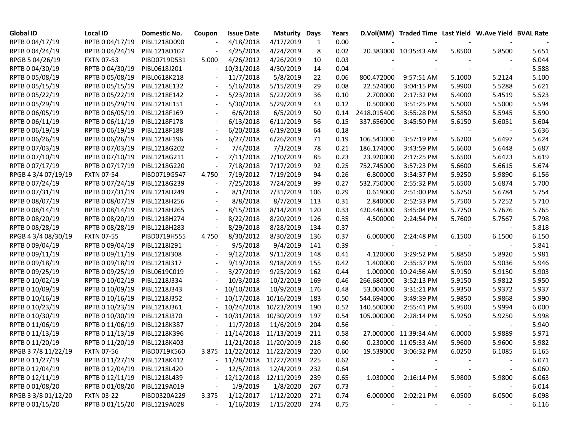| <b>Global ID</b>    | Local ID                     | Domestic No. | Coupon | <b>Issue Date</b>           | <b>Maturity Days</b> |     | Years |             | D.Vol(MM) Traded Time Last Yield W.Ave Yield BVAL Rate |        |        |       |
|---------------------|------------------------------|--------------|--------|-----------------------------|----------------------|-----|-------|-------------|--------------------------------------------------------|--------|--------|-------|
| RPTB 0 04/17/19     | RPTB 0 04/17/19              | PIBL1218D090 |        | 4/18/2018                   | 4/17/2019            | 1   | 0.00  |             |                                                        |        |        |       |
| RPTB 0 04/24/19     | RPTB 0 04/24/19              | PIBL1218D107 |        | 4/25/2018                   | 4/24/2019            | 8   | 0.02  |             | 20.383000 10:35:43 AM                                  | 5.8500 | 5.8500 | 5.651 |
| RPGB 5 04/26/19     | <b>FXTN 07-53</b>            | PIBD0719D531 | 5.000  | 4/26/2012                   | 4/26/2019            | 10  | 0.03  |             |                                                        |        |        | 6.044 |
| RPTB 0 04/30/19     | RPTB 0 04/30/19              | PIBL0618J201 |        | 10/31/2018                  | 4/30/2019            | 14  | 0.04  |             |                                                        |        |        | 5.588 |
| RPTB 0 05/08/19     | RPTB 0 05/08/19              | PIBL0618K218 |        | 11/7/2018                   | 5/8/2019             | 22  | 0.06  | 800.472000  | 9:57:51 AM                                             | 5.1000 | 5.2124 | 5.100 |
| RPTB 0 05/15/19     | RPTB 0 05/15/19              | PIBL1218E132 |        | 5/16/2018                   | 5/15/2019            | 29  | 0.08  | 22.524000   | 3:04:15 PM                                             | 5.9900 | 5.5288 | 5.621 |
| RPTB 0 05/22/19     | RPTB 0 05/22/19              | PIBL1218E142 |        | 5/23/2018                   | 5/22/2019            | 36  | 0.10  | 2.700000    | 2:17:32 PM                                             | 5.4000 | 5.4519 | 5.523 |
| RPTB 0 05/29/19     | RPTB 0 05/29/19              | PIBL1218E151 |        | 5/30/2018                   | 5/29/2019            | 43  | 0.12  | 0.500000    | 3:51:25 PM                                             | 5.5000 | 5.5000 | 5.594 |
| RPTB 0 06/05/19     | RPTB 0 06/05/19              | PIBL1218F169 |        | 6/6/2018                    | 6/5/2019             | 50  | 0.14  | 2418.015400 | 3:55:28 PM                                             | 5.5850 | 5.5945 | 5.590 |
| RPTB 0 06/11/19     | RPTB 0 06/11/19              | PIBL1218F178 |        | 6/13/2018                   | 6/11/2019            | 56  | 0.15  | 337.656000  | 3:45:50 PM                                             | 5.6150 | 5.6051 | 5.604 |
| RPTB 0 06/19/19     | RPTB 0 06/19/19              | PIBL1218F188 |        | 6/20/2018                   | 6/19/2019            | 64  | 0.18  |             |                                                        |        |        | 5.636 |
| RPTB 0 06/26/19     | RPTB 0 06/26/19              | PIBL1218F196 |        | 6/27/2018                   | 6/26/2019            | 71  | 0.19  | 106.543000  | 3:57:19 PM                                             | 5.6700 | 5.6497 | 5.624 |
| RPTB 0 07/03/19     | RPTB 0 07/03/19              | PIBL1218G202 |        | 7/4/2018                    | 7/3/2019             | 78  | 0.21  | 186.174000  | 3:43:59 PM                                             | 5.6600 | 5.6448 | 5.687 |
| RPTB 0 07/10/19     | RPTB 0 07/10/19              | PIBL1218G211 |        | 7/11/2018                   | 7/10/2019            | 85  | 0.23  | 23.920000   | 2:17:25 PM                                             | 5.6500 | 5.6423 | 5.619 |
| RPTB 0 07/17/19     | RPTB 0 07/17/19              | PIBL1218G220 |        | 7/18/2018                   | 7/17/2019            | 92  | 0.25  | 752.745000  | 3:57:23 PM                                             | 5.6600 | 5.6615 | 5.674 |
| RPGB 4 3/4 07/19/19 | <b>FXTN 07-54</b>            | PIBD0719G547 | 4.750  | 7/19/2012                   | 7/19/2019            | 94  | 0.26  | 6.800000    | 3:34:37 PM                                             | 5.9250 | 5.9890 | 6.156 |
| RPTB 0 07/24/19     | RPTB 0 07/24/19              | PIBL1218G239 |        | 7/25/2018                   | 7/24/2019            | 99  | 0.27  | 532.750000  | 2:55:32 PM                                             | 5.6500 | 5.6874 | 5.700 |
| RPTB 0 07/31/19     | RPTB 0 07/31/19              | PIBL1218H249 |        | 8/1/2018                    | 7/31/2019            | 106 | 0.29  | 0.619000    | 2:51:00 PM                                             | 5.6750 | 5.6784 | 5.754 |
| RPTB 0 08/07/19     | RPTB 0 08/07/19              | PIBL1218H256 |        | 8/8/2018                    | 8/7/2019             | 113 | 0.31  | 2.840000    | 2:52:33 PM                                             | 5.7500 | 5.7252 | 5.710 |
| RPTB 0 08/14/19     | RPTB 0 08/14/19              | PIBL1218H265 |        | 8/15/2018                   | 8/14/2019            | 120 | 0.33  | 420.446000  | 3:45:04 PM                                             | 5.7750 | 5.7676 | 5.765 |
| RPTB 0 08/20/19     | RPTB 0 08/20/19              | PIBL1218H274 |        | 8/22/2018                   | 8/20/2019            | 126 | 0.35  | 4.500000    | 2:24:54 PM                                             | 5.7600 | 5.7567 | 5.798 |
| RPTB 0 08/28/19     | RPTB 0 08/28/19              | PIBL1218H283 |        | 8/29/2018                   | 8/28/2019            | 134 | 0.37  |             |                                                        |        |        | 5.818 |
| RPGB 4 3/4 08/30/19 | <b>FXTN 07-55</b>            | PIBD0719H555 | 4.750  | 8/30/2012                   | 8/30/2019            | 136 | 0.37  | 6.000000    | 2:24:48 PM                                             | 6.1500 | 6.1500 | 6.150 |
| RPTB 0 09/04/19     | RPTB 0 09/04/19              | PIBL1218I291 |        | 9/5/2018                    | 9/4/2019             | 141 | 0.39  |             |                                                        |        |        | 5.841 |
| RPTB 0 09/11/19     | RPTB 0 09/11/19              | PIBL1218I308 |        | 9/12/2018                   | 9/11/2019            | 148 | 0.41  | 4.120000    | 3:29:52 PM                                             | 5.8850 | 5.8920 | 5.981 |
| RPTB 0 09/18/19     | RPTB 0 09/18/19              | PIBL1218I317 |        | 9/19/2018                   | 9/18/2019            | 155 | 0.42  | 1.400000    | 2:35:37 PM                                             | 5.9500 | 5.9036 | 5.946 |
| RPTB 0 09/25/19     | RPTB 0 09/25/19              | PIBL0619C019 |        | 3/27/2019                   | 9/25/2019            | 162 | 0.44  | 1.000000    | 10:24:56 AM                                            | 5.9150 | 5.9150 | 5.903 |
| RPTB 0 10/02/19     | RPTB 0 10/02/19              | PIBL1218J334 |        | 10/3/2018                   | 10/2/2019            | 169 | 0.46  | 266.680000  | 3:52:13 PM                                             | 5.9150 | 5.9812 | 5.950 |
| RPTB 0 10/09/19     | RPTB 0 10/09/19              | PIBL1218J343 |        | 10/10/2018                  | 10/9/2019            | 176 | 0.48  | 53.004000   | 3:31:21 PM                                             | 5.9350 | 5.9372 | 5.937 |
| RPTB 0 10/16/19     | RPTB 0 10/16/19              | PIBL1218J352 |        | 10/17/2018                  | 10/16/2019           | 183 | 0.50  | 544.694000  | 3:49:39 PM                                             | 5.9850 | 5.9868 | 5.990 |
| RPTB 0 10/23/19     | RPTB 0 10/23/19              | PIBL1218J361 |        | 10/24/2018                  | 10/23/2019           | 190 | 0.52  | 140.500000  | 2:55:41 PM                                             | 5.9500 | 5.9994 | 6.000 |
| RPTB 0 10/30/19     | RPTB 0 10/30/19              | PIBL1218J370 |        | 10/31/2018                  | 10/30/2019           | 197 | 0.54  | 105.000000  | 2:28:14 PM                                             | 5.9250 | 5.9250 | 5.998 |
| RPTB 0 11/06/19     | RPTB 0 11/06/19              | PIBL1218K387 |        | 11/7/2018                   | 11/6/2019            | 204 | 0.56  |             |                                                        |        |        | 5.940 |
| RPTB 0 11/13/19     | RPTB 0 11/13/19              | PIBL1218K396 |        | 11/14/2018                  | 11/13/2019           | 211 | 0.58  |             | 27.000000 11:39:34 AM                                  | 6.0000 | 5.9889 | 5.971 |
| RPTB 0 11/20/19     | RPTB 0 11/20/19              | PIBL1218K403 |        | $-11/21/2018$ $11/20/2019$  |                      | 218 | 0.60  |             | 0.230000 11:05:33 AM                                   | 5.9600 | 5.9600 | 5.982 |
| RPGB 37/8 11/22/19  | <b>FXTN 07-56</b>            | PIBD0719K560 |        | 3.875 11/22/2012 11/22/2019 |                      | 220 | 0.60  |             | 19.539000 3:06:32 PM                                   | 6.0250 | 6.1085 | 6.165 |
| RPTB 0 11/27/19     | RPTB 0 11/27/19              | PIBL1218K412 |        | - 11/28/2018 11/27/2019     |                      | 225 | 0.62  |             |                                                        |        |        | 6.071 |
| RPTB 0 12/04/19     | RPTB 0 12/04/19              | PIBL1218L420 |        | 12/5/2018                   | 12/4/2019            | 232 | 0.64  |             |                                                        |        |        | 6.060 |
| RPTB 0 12/11/19     | RPTB 0 12/11/19              | PIBL1218L439 |        | 12/12/2018                  | 12/11/2019           | 239 | 0.65  | 1.030000    | 2:16:14 PM                                             | 5.9800 | 5.9800 | 6.063 |
| RPTB 0 01/08/20     | RPTB 0 01/08/20              | PIBL1219A019 |        | 1/9/2019                    | 1/8/2020             | 267 | 0.73  |             |                                                        |        |        | 6.014 |
| RPGB 3 3/8 01/12/20 | <b>FXTN 03-22</b>            | PIBD0320A229 | 3.375  | 1/12/2017                   | 1/12/2020            | 271 | 0.74  | 6.000000    | 2:02:21 PM                                             | 6.0500 | 6.0500 | 6.098 |
| RPTB 0 01/15/20     | RPTB 0 01/15/20 PIBL1219A028 |              |        | 1/16/2019                   | 1/15/2020            | 274 | 0.75  |             |                                                        |        |        | 6.116 |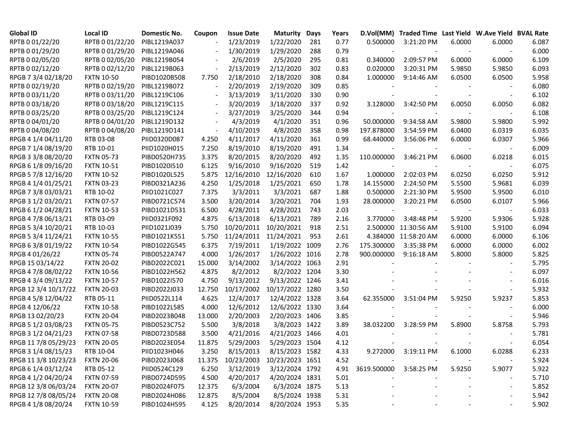| <b>Global ID</b>     | Local ID          | Domestic No. | Coupon                   | <b>Issue Date</b> | <b>Maturity</b>                   | Days | Years | D.Vol(MM)                | Traded Time Last Yield W.Ave Yield BVAL Rate |        |        |       |
|----------------------|-------------------|--------------|--------------------------|-------------------|-----------------------------------|------|-------|--------------------------|----------------------------------------------|--------|--------|-------|
| RPTB 0 01/22/20      | RPTB 0 01/22/20   | PIBL1219A037 |                          | 1/23/2019         | 1/22/2020                         | 281  | 0.77  | 0.500000                 | 3:21:20 PM                                   | 6.0000 | 6.0000 | 6.087 |
| RPTB 0 01/29/20      | RPTB 0 01/29/20   | PIBL1219A046 |                          | 1/30/2019         | 1/29/2020                         | 288  | 0.79  |                          |                                              |        |        | 6.000 |
| RPTB 0 02/05/20      | RPTB 0 02/05/20   | PIBL1219B054 |                          | 2/6/2019          | 2/5/2020                          | 295  | 0.81  | 0.340000                 | 2:09:57 PM                                   | 6.0000 | 6.0000 | 6.109 |
| RPTB 0 02/12/20      | RPTB 0 02/12/20   | PIBL1219B063 |                          | 2/13/2019         | 2/12/2020                         | 302  | 0.83  | 0.020000                 | 3:20:31 PM                                   | 5.9850 | 5.9850 | 6.093 |
| RPGB 7 3/4 02/18/20  | <b>FXTN 10-50</b> | PIBD1020B508 | 7.750                    | 2/18/2010         | 2/18/2020                         | 308  | 0.84  | 1.000000                 | 9:14:46 AM                                   | 6.0500 | 6.0500 | 5.958 |
| RPTB 0 02/19/20      | RPTB 0 02/19/20   | PIBL1219B072 |                          | 2/20/2019         | 2/19/2020                         | 309  | 0.85  |                          |                                              |        |        | 6.080 |
| RPTB 0 03/11/20      | RPTB 0 03/11/20   | PIBL1219C106 |                          | 3/13/2019         | 3/11/2020                         | 330  | 0.90  |                          |                                              |        |        | 6.102 |
| RPTB 0 03/18/20      | RPTB 0 03/18/20   | PIBL1219C115 |                          | 3/20/2019         | 3/18/2020                         | 337  | 0.92  | 3.128000                 | 3:42:50 PM                                   | 6.0050 | 6.0050 | 6.082 |
| RPTB 0 03/25/20      | RPTB 0 03/25/20   | PIBL1219C124 | $\overline{\phantom{a}}$ | 3/27/2019         | 3/25/2020                         | 344  | 0.94  |                          |                                              |        |        | 6.108 |
| RPTB 0 04/01/20      | RPTB 0 04/01/20   | PIBL1219D132 | $\overline{\phantom{a}}$ | 4/3/2019          | 4/1/2020                          | 351  | 0.96  | 50.000000                | 9:34:58 AM                                   | 5.9800 | 5.9800 | 5.992 |
| RPTB 0 04/08/20      | RPTB 0 04/08/20   | PIBL1219D141 |                          | 4/10/2019         | 4/8/2020                          | 358  | 0.98  | 197.878000               | 3:54:59 PM                                   | 6.0400 | 6.0319 | 6.035 |
| RPGB 4 1/4 04/11/20  | RTB 03-08         | PIID0320D087 | 4.250                    | 4/11/2017         | 4/11/2020                         | 361  | 0.99  | 68.440000                | 3:56:06 PM                                   | 6.0000 | 6.0307 | 5.966 |
| RPGB 7 1/4 08/19/20  | RTB 10-01         | PIID1020H015 | 7.250                    | 8/19/2010         | 8/19/2020                         | 491  | 1.34  |                          |                                              |        |        | 6.009 |
| RPGB 3 3/8 08/20/20  | <b>FXTN 05-73</b> | PIBD0520H735 | 3.375                    | 8/20/2015         | 8/20/2020                         | 492  | 1.35  | 110.000000               | 3:46:21 PM                                   | 6.0600 | 6.0218 | 6.015 |
| RPGB 6 1/8 09/16/20  | <b>FXTN 10-51</b> | PIBD1020I510 | 6.125                    | 9/16/2010         | 9/16/2020                         | 519  | 1.42  |                          |                                              |        |        | 6.075 |
| RPGB 5 7/8 12/16/20  | <b>FXTN 10-52</b> | PIBD1020L525 | 5.875                    | 12/16/2010        | 12/16/2020                        | 610  | 1.67  | 1.000000                 | 2:02:03 PM                                   | 6.0250 | 6.0250 | 5.912 |
| RPGB 4 1/4 01/25/21  | <b>FXTN 03-23</b> | PIBD0321A236 | 4.250                    | 1/25/2018         | 1/25/2021                         | 650  | 1.78  | 14.155000                | 2:24:50 PM                                   | 5.5500 | 5.9681 | 6.039 |
| RPGB 7 3/8 03/03/21  | RTB 10-02         | PIID1021C027 | 7.375                    | 3/3/2011          | 3/3/2021                          | 687  | 1.88  | 0.500000                 | 2:21:30 PM                                   | 5.9500 | 5.9500 | 6.010 |
| RPGB 3 1/2 03/20/21  | <b>FXTN 07-57</b> | PIBD0721C574 | 3.500                    | 3/20/2014         | 3/20/2021                         | 704  | 1.93  | 28.000000                | 3:20:21 PM                                   | 6.0500 | 6.0107 | 5.966 |
| RPGB 6 1/2 04/28/21  | <b>FXTN 10-53</b> | PIBD1021D531 | 6.500                    | 4/28/2011         | 4/28/2021                         | 743  | 2.03  | $\overline{\phantom{a}}$ |                                              |        |        | 6.033 |
| RPGB 4 7/8 06/13/21  | RTB 03-09         | PIID0321F092 | 4.875                    | 6/13/2018         | 6/13/2021                         | 789  | 2.16  | 3.770000                 | 3:48:48 PM                                   | 5.9200 | 5.9306 | 5.928 |
| RPGB 5 3/4 10/20/21  | RTB 10-03         | PIID1021J039 | 5.750                    | 10/20/2011        | 10/20/2021                        | 918  | 2.51  |                          | 2.500000 11:30:56 AM                         | 5.9100 | 5.9100 | 6.094 |
| RPGB 5 3/4 11/24/21  | <b>FXTN 10-55</b> | PIBD1021K551 | 5.750                    | 11/24/2011        | 11/24/2021                        | 953  | 2.61  |                          | 4.384000 11:58:20 AM                         | 6.0000 | 6.0000 | 6.106 |
| RPGB 63/8 01/19/22   | <b>FXTN 10-54</b> | PIBD1022G545 | 6.375                    | 7/19/2011         | 1/19/2022 1009                    |      | 2.76  | 175.300000               | 3:35:38 PM                                   | 6.0000 | 6.0000 | 6.002 |
| RPGB 4 01/26/22      | <b>FXTN 05-74</b> | PIBD0522A747 | 4.000                    | 1/26/2017         | 1/26/2022 1016                    |      | 2.78  | 900.000000               | 9:16:18 AM                                   | 5.8000 | 5.8000 | 5.825 |
| RPGB 15 03/14/22     | <b>FXTN 20-02</b> | PIBD2022C021 | 15.000                   | 3/14/2002         | 3/14/2022 1063                    |      | 2.91  |                          |                                              |        |        | 5.795 |
| RPGB 4 7/8 08/02/22  | <b>FXTN 10-56</b> | PIBD1022H562 | 4.875                    | 8/2/2012          | 8/2/2022 1204                     |      | 3.30  |                          |                                              |        |        | 6.097 |
| RPGB 4 3/4 09/13/22  | <b>FXTN 10-57</b> | PIBD1022I570 | 4.750                    | 9/13/2012         | 9/13/2022 1246                    |      | 3.41  |                          |                                              |        |        | 6.016 |
| RPGB 12 3/4 10/17/22 | <b>FXTN 20-03</b> | PIBD2022J033 | 12.750                   | 10/17/2002        | 10/17/2022 1280                   |      | 3.50  |                          |                                              |        |        | 5.932 |
| RPGB 4 5/8 12/04/22  | RTB 05-11         | PIID0522L114 | 4.625                    | 12/4/2017         | 12/4/2022 1328                    |      | 3.64  | 62.355000                | 3:51:04 PM                                   | 5.9250 | 5.9237 | 5.853 |
| RPGB 4 12/06/22      | <b>FXTN 10-58</b> | PIBD1022L585 | 4.000                    | 12/6/2012         | 12/6/2022 1330                    |      | 3.64  |                          |                                              |        |        | 6.000 |
| RPGB 13 02/20/23     | <b>FXTN 20-04</b> | PIBD2023B048 | 13.000                   | 2/20/2003         | 2/20/2023 1406                    |      | 3.85  |                          |                                              |        |        | 5.946 |
| RPGB 5 1/2 03/08/23  | <b>FXTN 05-75</b> | PIBD0523C752 | 5.500                    | 3/8/2018          | 3/8/2023 1422                     |      | 3.89  | 38.032200                | 3:28:59 PM                                   | 5.8900 | 5.8758 | 5.793 |
| RPGB 3 1/2 04/21/23  | <b>FXTN 07-58</b> | PIBD0723D588 | 3.500                    | 4/21/2016         | 4/21/2023 1466                    |      | 4.01  |                          |                                              |        |        | 5.781 |
| RPGB 11 7/8 05/29/23 | <b>FXTN 20-05</b> | PIBD2023E054 | 11.875                   | 5/29/2003         | 5/29/2023 1504                    |      | 4.12  |                          |                                              |        |        | 6.054 |
| RPGB 3 1/4 08/15/23  | RTB 10-04         | PIID1023H046 | 3.250                    | 8/15/2013         | 8/15/2023 1582                    |      | 4.33  |                          | 9.272000 3:19:11 PM                          | 6.1000 | 6.0288 | 6.233 |
| RPGB 11 3/8 10/23/23 | <b>FXTN 20-06</b> | PIBD2023J068 |                          |                   | 11.375 10/23/2003 10/23/2023 1651 |      | 4.52  |                          |                                              |        |        | 5.924 |
| RPGB 6 1/4 03/12/24  | RTB 05-12         | PIID0524C129 | 6.250                    | 3/12/2019         | 3/12/2024 1792                    |      | 4.91  | 3619.500000              | 3:58:25 PM                                   | 5.9250 | 5.9077 | 5.922 |
| RPGB 4 1/2 04/20/24  | <b>FXTN 07-59</b> | PIBD0724D595 | 4.500                    | 4/20/2017         | 4/20/2024 1831                    |      | 5.01  |                          |                                              |        |        | 5.710 |
| RPGB 12 3/8 06/03/24 | <b>FXTN 20-07</b> | PIBD2024F075 | 12.375                   | 6/3/2004          | 6/3/2024 1875                     |      | 5.13  |                          |                                              |        |        | 5.852 |
| RPGB 12 7/8 08/05/24 | <b>FXTN 20-08</b> | PIBD2024H086 | 12.875                   | 8/5/2004          | 8/5/2024 1938                     |      | 5.31  |                          |                                              |        |        | 5.942 |
| RPGB 4 1/8 08/20/24  | <b>FXTN 10-59</b> | PIBD1024H595 | 4.125                    | 8/20/2014         | 8/20/2024 1953                    |      | 5.35  |                          |                                              |        |        | 5.902 |